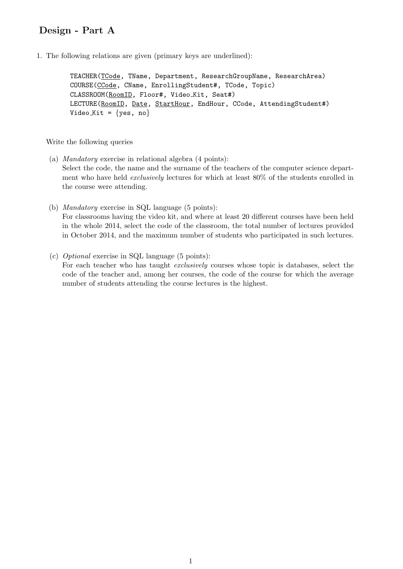## Design - Part A

1. The following relations are given (primary keys are underlined):

TEACHER(TCode, TName, Department, ResearchGroupName, ResearchArea) COURSE(CCode, CName, EnrollingStudent#, TCode, Topic) CLASSROOM(RoomID, Floor#, Video Kit, Seat#) LECTURE(RoomID, Date, StartHour, EndHour, CCode, AttendingStudent#) Video\_Kit =  $\{yes, no\}$ 

Write the following queries

- (a) Mandatory exercise in relational algebra (4 points): Select the code, the name and the surname of the teachers of the computer science department who have held exclusively lectures for which at least 80% of the students enrolled in the course were attending.
- (b) Mandatory exercise in SQL language (5 points): For classrooms having the video kit, and where at least 20 different courses have been held in the whole 2014, select the code of the classroom, the total number of lectures provided in October 2014, and the maximum number of students who participated in such lectures.
- (c) Optional exercise in SQL language (5 points): For each teacher who has taught exclusively courses whose topic is databases, select the code of the teacher and, among her courses, the code of the course for which the average number of students attending the course lectures is the highest.